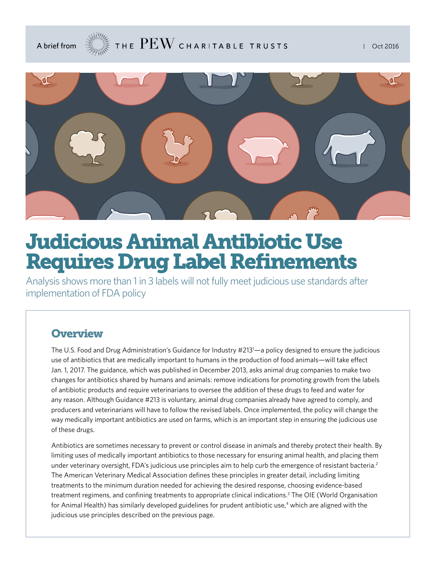

# Judicious Animal Antibiotic Use Requires Drug Label Refinements

Analysis shows more than 1 in 3 labels will not fully meet judicious use standards after implementation of FDA policy

### **Overview**

The U.S. Food and Drug Administration's Guidance for Industry #2131 —a policy designed to ensure the judicious use of antibiotics that are medically important to humans in the production of food animals—will take effect Jan. 1, 2017. The guidance, which was published in December 2013, asks animal drug companies to make two changes for antibiotics shared by humans and animals: remove indications for promoting growth from the labels of antibiotic products and require veterinarians to oversee the addition of these drugs to feed and water for any reason. Although Guidance #213 is voluntary, animal drug companies already have agreed to comply, and producers and veterinarians will have to follow the revised labels. Once implemented, the policy will change the way medically important antibiotics are used on farms, which is an important step in ensuring the judicious use of these drugs.

Antibiotics are sometimes necessary to prevent or control disease in animals and thereby protect their health. By limiting uses of medically important antibiotics to those necessary for ensuring animal health, and placing them under veterinary oversight, FDA's judicious use principles aim to help curb the emergence of resistant bacteria.<sup>2</sup> The American Veterinary Medical Association defines these principles in greater detail, including limiting treatments to the minimum duration needed for achieving the desired response, choosing evidence-based treatment regimens, and confining treatments to appropriate clinical indications.<sup>3</sup> The OIE (World Organisation for Animal Health) has similarly developed guidelines for prudent antibiotic use,<sup>4</sup> which are aligned with the judicious use principles described on the previous page.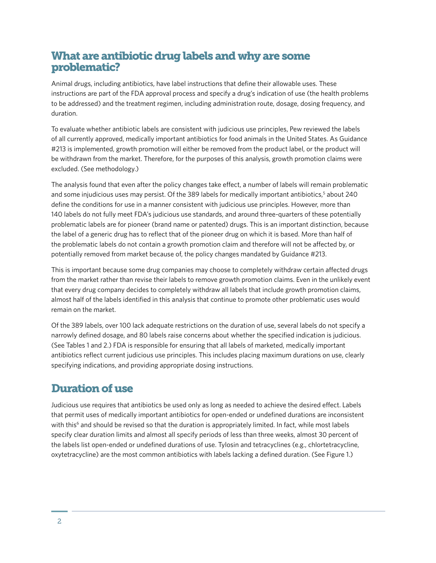### What are antibiotic drug labels and why are some problematic?

Animal drugs, including antibiotics, have label instructions that define their allowable uses. These instructions are part of the FDA approval process and specify a drug's indication of use (the health problems to be addressed) and the treatment regimen, including administration route, dosage, dosing frequency, and duration.

To evaluate whether antibiotic labels are consistent with judicious use principles, Pew reviewed the labels of all currently approved, medically important antibiotics for food animals in the United States. As Guidance #213 is implemented, growth promotion will either be removed from the product label, or the product will be withdrawn from the market. Therefore, for the purposes of this analysis, growth promotion claims were excluded. (See methodology.)

The analysis found that even after the policy changes take effect, a number of labels will remain problematic and some injudicious uses may persist. Of the 389 labels for medically important antibiotics,<sup>5</sup> about 240 define the conditions for use in a manner consistent with judicious use principles. However, more than 140 labels do not fully meet FDA's judicious use standards, and around three-quarters of these potentially problematic labels are for pioneer (brand name or patented) drugs. This is an important distinction, because the label of a generic drug has to reflect that of the pioneer drug on which it is based. More than half of the problematic labels do not contain a growth promotion claim and therefore will not be affected by, or potentially removed from market because of, the policy changes mandated by Guidance #213.

This is important because some drug companies may choose to completely withdraw certain affected drugs from the market rather than revise their labels to remove growth promotion claims. Even in the unlikely event that every drug company decides to completely withdraw all labels that include growth promotion claims, almost half of the labels identified in this analysis that continue to promote other problematic uses would remain on the market.

Of the 389 labels, over 100 lack adequate restrictions on the duration of use, several labels do not specify a narrowly defined dosage, and 80 labels raise concerns about whether the specified indication is judicious. (See Tables 1 and 2.) FDA is responsible for ensuring that all labels of marketed, medically important antibiotics reflect current judicious use principles. This includes placing maximum durations on use, clearly specifying indications, and providing appropriate dosing instructions.

# Duration of use

Judicious use requires that antibiotics be used only as long as needed to achieve the desired effect. Labels that permit uses of medically important antibiotics for open-ended or undefined durations are inconsistent with this<sup>6</sup> and should be revised so that the duration is appropriately limited. In fact, while most labels specify clear duration limits and almost all specify periods of less than three weeks, almost 30 percent of the labels list open-ended or undefined durations of use. Tylosin and tetracyclines (e.g., chlortetracycline, oxytetracycline) are the most common antibiotics with labels lacking a defined duration. (See Figure 1.)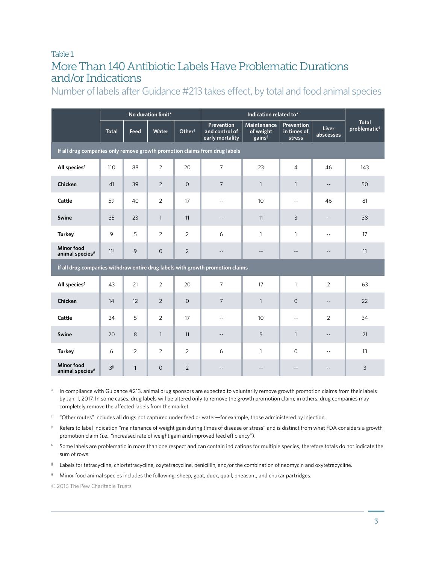### Table 1 More Than 140 Antibiotic Labels Have Problematic Durations and/or Indications

Number of labels after Guidance #213 takes effect, by total and food animal species

|                                                                                | No duration limit* |                |              |                    |                                                 |                                                       |                                     |                           |                                   |  |  |  |
|--------------------------------------------------------------------------------|--------------------|----------------|--------------|--------------------|-------------------------------------------------|-------------------------------------------------------|-------------------------------------|---------------------------|-----------------------------------|--|--|--|
|                                                                                | <b>Total</b>       | Feed           | Water        | Other <sup>†</sup> | Prevention<br>and control of<br>early mortality | <b>Maintenance</b><br>of weight<br>gains <sup>#</sup> | Prevention<br>in times of<br>stress | <b>Liver</b><br>abscesses | Total<br>problematic <sup>s</sup> |  |  |  |
| If all drug companies only remove growth promotion claims from drug labels     |                    |                |              |                    |                                                 |                                                       |                                     |                           |                                   |  |  |  |
| All species <sup>§</sup>                                                       | 110                | 88             | 2            | 20                 | $\overline{7}$                                  | 23                                                    | $\overline{4}$                      | 46                        | 143                               |  |  |  |
| <b>Chicken</b>                                                                 | 41                 | 39             | 2            | $\mathbf{O}$       | $7\overline{ }$                                 | $\mathbf{1}$                                          | $\mathbf{1}$                        | $\overline{\phantom{a}}$  | 50                                |  |  |  |
| Cattle                                                                         | 59                 | 40             | 2            | 17                 | $\sim$ $\sim$                                   | 10                                                    | $\mathbf{u}$                        | 46                        | 81                                |  |  |  |
| Swine                                                                          | 35                 | 23             | $\mathbf{1}$ | 11                 | $\qquad \qquad -$                               | 11                                                    | 3                                   | $\overline{\phantom{a}}$  | 38                                |  |  |  |
| <b>Turkey</b>                                                                  | 9                  | 5              | 2            | 2                  | 6                                               | $\mathbf{1}$                                          | $\mathbf{1}$                        | $\sim$ $\sim$             | 17                                |  |  |  |
| <b>Minor food</b><br>animal species <sup>#</sup>                               | 11                 | 9              | $\circ$      | $\overline{2}$     | $-$                                             | $\sim$                                                | $-$                                 |                           | 11                                |  |  |  |
| If all drug companies withdraw entire drug labels with growth promotion claims |                    |                |              |                    |                                                 |                                                       |                                     |                           |                                   |  |  |  |
| All species <sup>§</sup>                                                       | 43                 | 21             | 2            | 20                 | $\overline{7}$                                  | 17                                                    | $\mathbf{1}$                        | $\overline{2}$            | 63                                |  |  |  |
| Chicken                                                                        | 14                 | 12             | 2            | $\circ$            | $\overline{7}$                                  | $\mathbf{1}$                                          | $\circ$                             | $\overline{\phantom{a}}$  | 22                                |  |  |  |
| Cattle                                                                         | 24                 | 5              | 2            | 17                 | $\sim$ $\sim$                                   | 10                                                    | $\mathbf{u}$                        | $\overline{2}$            | 34                                |  |  |  |
| <b>Swine</b>                                                                   | 20                 | 8              | $\mathbf{1}$ | 11                 | --                                              | 5                                                     | $\mathbf{1}$                        | $\qquad \qquad -$         | 21                                |  |  |  |
| <b>Turkey</b>                                                                  | 6                  | $\overline{2}$ | 2            | 2                  | 6                                               | $\mathbf{1}$                                          | $\circ$                             | $\sim$ $\sim$             | 13                                |  |  |  |
| <b>Minor food</b><br>animal species <sup>#</sup>                               | $3^{\parallel}$    | $\mathbf{1}$   | $\circ$      | $\overline{2}$     | $- -$                                           | $-$                                                   | $\qquad \qquad -$                   | $-$                       | 3                                 |  |  |  |

In compliance with Guidance #213, animal drug sponsors are expected to voluntarily remove growth promotion claims from their labels by Jan. 1, 2017. In some cases, drug labels will be altered only to remove the growth promotion claim; in others, drug companies may completely remove the affected labels from the market.

- $^+$  "Other routes" includes all drugs not captured under feed or water—for example, those administered by injection.
- ‡ Refers to label indication "maintenance of weight gain during times of disease or stress" and is distinct from what FDA considers a growth promotion claim (i.e., "increased rate of weight gain and improved feed efficiency").
- § Some labels are problematic in more than one respect and can contain indications for multiple species, therefore totals do not indicate the sum of rows.
- || Labels for tetracycline, chlortetracycline, oxytetracycline, penicillin, and/or the combination of neomycin and oxytetracycline.
- # Minor food animal species includes the following: sheep, goat, duck, quail, pheasant, and chukar partridges.

© 2016 The Pew Charitable Trusts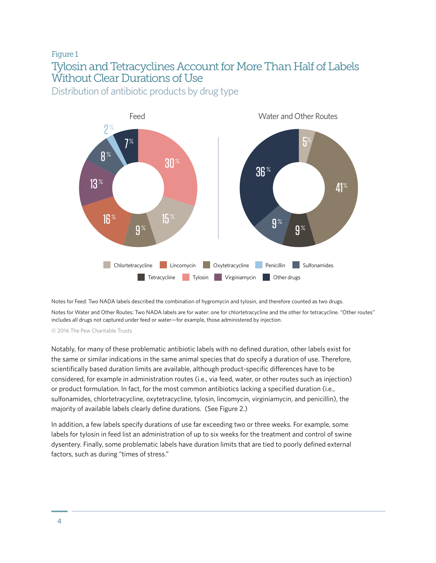# Figure 1 Tylosin and Tetracyclines Account for More Than Half of Labels Without Clear Durations of Use

Distribution of antibiotic products by drug type



Notes for Feed: Two NADA labels described the combination of hygromycin and tylosin, and therefore counted as two drugs.

Notes for Water and Other Routes: Two NADA labels are for water: one for chlortetracycline and the other for tetracycline. "Other routes" includes all drugs not captured under feed or water—for example, those administered by injection.

© 2016 The Pew Charitable Trusts

Notably, for many of these problematic antibiotic labels with no defined duration, other labels exist for the same or similar indications in the same animal species that do specify a duration of use. Therefore, scientifically based duration limits are available, although product-specific differences have to be considered, for example in administration routes (i.e., via feed, water, or other routes such as injection) or product formulation. In fact, for the most common antibiotics lacking a specified duration (i.e., sulfonamides, chlortetracycline, oxytetracycline, tylosin, lincomycin, virginiamycin, and penicillin), the majority of available labels clearly define durations. (See Figure 2.)

In addition, a few labels specify durations of use far exceeding two or three weeks. For example, some labels for tylosin in feed list an administration of up to six weeks for the treatment and control of swine dysentery. Finally, some problematic labels have duration limits that are tied to poorly defined external factors, such as during "times of stress."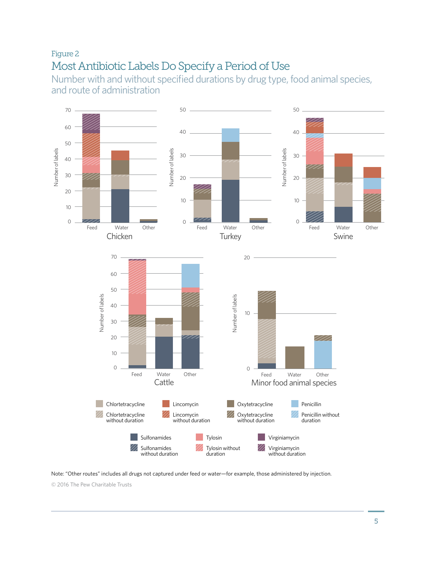# Figure 2 Most Antibiotic Labels Do Specify a Period of Use

Number with and without specified durations by drug type, food animal species, and route of administration



Note: "Other routes" includes all drugs not captured under feed or water—for example, those administered by injection. © 2016 The Pew Charitable Trusts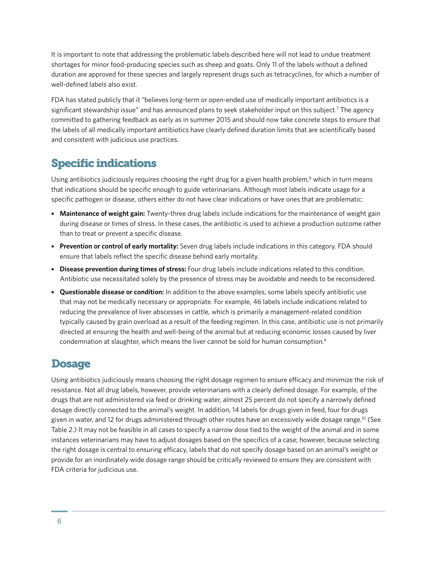It is important to note that addressing the problematic labels described here will not lead to undue treatment shortages for minor food-producing species such as sheep and goats. Only 11 of the labels without a defined duration are approved for these species and largely represent drugs such as tetracyclines, for which a number of well-defined labels also exist.

FDA has stated publicly that it "believes long-term or open-ended use of medically important antibiotics is a significant stewardship issue" and has announced plans to seek stakeholder input on this subject.<sup>7</sup> The agency committed to gathering feedback as early as in summer 2015 and should now take concrete steps to ensure that the labels of all medically important antibiotics have clearly defined duration limits that are scientifically based and consistent with judicious use practices.

# Specific indications

Using antibiotics judiciously requires choosing the right drug for a given health problem,<sup>8</sup> which in turn means that indications should be specific enough to guide veterinarians. Although most labels indicate usage for a specific pathogen or disease, others either do not have clear indications or have ones that are problematic:

- **Maintenance of weight gain:** Twenty-three drug labels include indications for the maintenance of weight gain during disease or times of stress. In these cases, the antibiotic is used to achieve a production outcome rather than to treat or prevent a specific disease.
- **Prevention or control of early mortality:** Seven drug labels include indications in this category. FDA should ensure that labels reflect the specific disease behind early mortality.
- **Disease prevention during times of stress:** Four drug labels include indications related to this condition. Antibiotic use necessitated solely by the presence of stress may be avoidable and needs to be reconsidered.
- **Questionable disease or condition:** In addition to the above examples, some labels specify antibiotic use that may not be medically necessary or appropriate. For example, 46 labels include indications related to reducing the prevalence of liver abscesses in cattle, which is primarily a management-related condition typically caused by grain overload as a result of the feeding regimen. In this case, antibiotic use is not primarily directed at ensuring the health and well-being of the animal but at reducing economic losses caused by liver condemnation at slaughter, which means the liver cannot be sold for human consumption.<sup>9</sup>

# **Dosage**

Using antibiotics judiciously means choosing the right dosage regimen to ensure efficacy and minimize the risk of resistance. Not all drug labels, however, provide veterinarians with a clearly defined dosage. For example, of the drugs that are not administered via feed or drinking water, almost 25 percent do not specify a narrowly defined dosage directly connected to the animal's weight. In addition, 14 labels for drugs given in feed, four for drugs given in water, and 12 for drugs administered through other routes have an excessively wide dosage range.10 (See Table 2.) It may not be feasible in all cases to specify a narrow dose tied to the weight of the animal and in some instances veterinarians may have to adjust dosages based on the specifics of a case; however, because selecting the right dosage is central to ensuring efficacy, labels that do not specify dosage based on an animal's weight or provide for an inordinately wide dosage range should be critically reviewed to ensure they are consistent with FDA criteria for judicious use.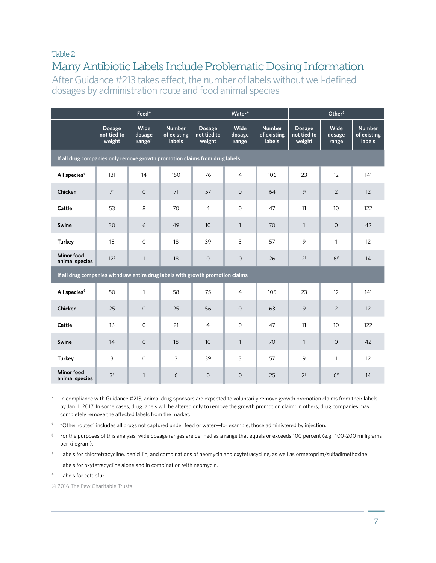#### Table 2

# Many Antibiotic Labels Include Problematic Dosing Information

After Guidance #213 takes effect, the number of labels without well-defined dosages by administration route and food animal species

|                                                                                |                                        | Feed*                      |                                               |                                        | Water*                  |                                               | Other <sup>†</sup>                     |                         |                                               |  |  |  |  |
|--------------------------------------------------------------------------------|----------------------------------------|----------------------------|-----------------------------------------------|----------------------------------------|-------------------------|-----------------------------------------------|----------------------------------------|-------------------------|-----------------------------------------------|--|--|--|--|
|                                                                                | <b>Dosage</b><br>not tied to<br>weight | Wide<br>dosage<br>$range*$ | <b>Number</b><br>of existing<br><b>labels</b> | <b>Dosage</b><br>not tied to<br>weight | Wide<br>dosage<br>range | <b>Number</b><br>of existing<br><b>labels</b> | <b>Dosage</b><br>not tied to<br>weight | Wide<br>dosage<br>range | <b>Number</b><br>of existing<br><b>labels</b> |  |  |  |  |
| If all drug companies only remove growth promotion claims from drug labels     |                                        |                            |                                               |                                        |                         |                                               |                                        |                         |                                               |  |  |  |  |
| All species <sup>§</sup>                                                       | 131                                    | 14                         | 150                                           | 76                                     | $\overline{4}$          | 106                                           | 23                                     | 12                      | 141                                           |  |  |  |  |
| Chicken                                                                        | 71                                     | $\circ$                    | 71                                            | 57                                     | $\circ$                 | 64                                            | 9                                      | 2                       | 12                                            |  |  |  |  |
| Cattle                                                                         | 53                                     | 8                          | 70                                            | $\overline{4}$                         | $\circ$                 | 47                                            | 11                                     | 10                      | 122                                           |  |  |  |  |
| Swine                                                                          | 30                                     | 6                          | 49                                            | 10                                     | $\mathbf{1}$            | 70                                            | $\mathbf{1}$                           | $\Omega$                | 42                                            |  |  |  |  |
| <b>Turkey</b>                                                                  | 18                                     | $\circ$                    | 18                                            | 39                                     | 3                       | 57                                            | 9                                      | $\mathbf{1}$            | 12                                            |  |  |  |  |
| <b>Minor food</b><br>animal species                                            | 12 <sup>s</sup>                        | $\mathbf{1}$               | 18                                            | $\overline{O}$                         | $\circ$                 | 26                                            | $2^{\parallel}$                        | 6#                      | 14                                            |  |  |  |  |
| If all drug companies withdraw entire drug labels with growth promotion claims |                                        |                            |                                               |                                        |                         |                                               |                                        |                         |                                               |  |  |  |  |
| All species <sup>§</sup>                                                       | 50                                     | $\mathbf{1}$               | 58                                            | 75                                     | $\overline{4}$          | 105                                           | 23                                     | 12                      | 141                                           |  |  |  |  |
| Chicken                                                                        | 25                                     | $\mathbf{O}$               | 25                                            | 56                                     | $\circ$                 | 63                                            | 9                                      | $\overline{2}$          | 12                                            |  |  |  |  |
| Cattle                                                                         | 16                                     | $\circ$                    | 21                                            | 4                                      | $\circ$                 | 47                                            | 11                                     | 10                      | 122                                           |  |  |  |  |
| Swine                                                                          | 14                                     | $\circ$                    | 18                                            | 10                                     | $\mathbf{1}$            | 70                                            | $\mathbf{1}$                           | $\circ$                 | 42                                            |  |  |  |  |
| <b>Turkey</b>                                                                  | 3                                      | $\Omega$                   | 3                                             | 39                                     | 3                       | 57                                            | 9                                      | $\mathbf{1}$            | 12                                            |  |  |  |  |
| <b>Minor food</b><br>animal species                                            | 3 <sup>s</sup>                         | $\mathbf{1}$               | 6                                             | $\overline{0}$                         | $\circ$                 | 25                                            | $2^{\parallel}$                        | 6#                      | 14                                            |  |  |  |  |

\* In compliance with Guidance #213, animal drug sponsors are expected to voluntarily remove growth promotion claims from their labels by Jan. 1, 2017. In some cases, drug labels will be altered only to remove the growth promotion claim; in others, drug companies may completely remove the affected labels from the market.

 $\dagger$  "Other routes" includes all drugs not captured under feed or water—for example, those administered by injection.

‡ For the purposes of this analysis, wide dosage ranges are defined as a range that equals or exceeds 100 percent (e.g., 100-200 milligrams per kilogram).

§ Labels for chlortetracycline, penicillin, and combinations of neomycin and oxytetracycline, as well as ormetoprim/sulfadimethoxine.

|| Labels for oxytetracycline alone and in combination with neomycin.

Labels for ceftiofur.

© 2016 The Pew Charitable Trusts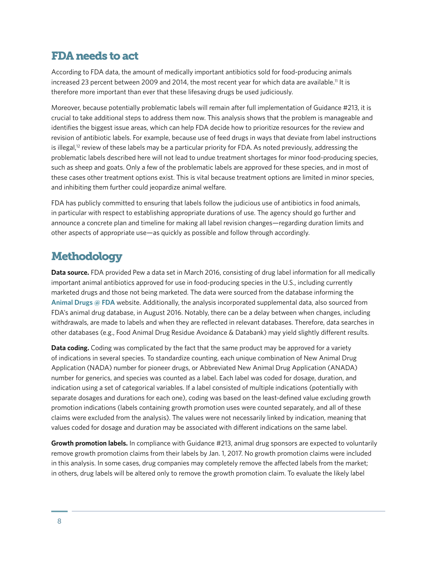### FDA needs to act

According to FDA data, the amount of medically important antibiotics sold for food-producing animals increased 23 percent between 2009 and 2014, the most recent year for which data are available.<sup>11</sup> It is therefore more important than ever that these lifesaving drugs be used judiciously.

Moreover, because potentially problematic labels will remain after full implementation of Guidance #213, it is crucial to take additional steps to address them now. This analysis shows that the problem is manageable and identifies the biggest issue areas, which can help FDA decide how to prioritize resources for the review and revision of antibiotic labels. For example, because use of feed drugs in ways that deviate from label instructions is illegal,<sup>12</sup> review of these labels may be a particular priority for FDA. As noted previously, addressing the problematic labels described here will not lead to undue treatment shortages for minor food-producing species, such as sheep and goats. Only a few of the problematic labels are approved for these species, and in most of these cases other treatment options exist. This is vital because treatment options are limited in minor species, and inhibiting them further could jeopardize animal welfare.

FDA has publicly committed to ensuring that labels follow the judicious use of antibiotics in food animals, in particular with respect to establishing appropriate durations of use. The agency should go further and announce a concrete plan and timeline for making all label revision changes—regarding duration limits and other aspects of appropriate use—as quickly as possible and follow through accordingly.

# **Methodology**

**Data source.** FDA provided Pew a data set in March 2016, consisting of drug label information for all medically important animal antibiotics approved for use in food-producing species in the U.S., including currently marketed drugs and those not being marketed. The data were sourced from the database informing the **[Animal Drugs @ FDA](http://www.accessdata.fda.gov/scripts/animaldrugsatfda/)** website. Additionally, the analysis incorporated supplemental data, also sourced from FDA's animal drug database, in August 2016. Notably, there can be a delay between when changes, including withdrawals, are made to labels and when they are reflected in relevant databases. Therefore, data searches in other databases (e.g., Food Animal Drug Residue Avoidance & Databank) may yield slightly different results.

**Data coding.** Coding was complicated by the fact that the same product may be approved for a variety of indications in several species. To standardize counting, each unique combination of New Animal Drug Application (NADA) number for pioneer drugs, or Abbreviated New Animal Drug Application (ANADA) number for generics, and species was counted as a label. Each label was coded for dosage, duration, and indication using a set of categorical variables. If a label consisted of multiple indications (potentially with separate dosages and durations for each one), coding was based on the least-defined value excluding growth promotion indications (labels containing growth promotion uses were counted separately, and all of these claims were excluded from the analysis). The values were not necessarily linked by indication, meaning that values coded for dosage and duration may be associated with different indications on the same label.

**Growth promotion labels.** In compliance with Guidance #213, animal drug sponsors are expected to voluntarily remove growth promotion claims from their labels by Jan. 1, 2017. No growth promotion claims were included in this analysis. In some cases, drug companies may completely remove the affected labels from the market; in others, drug labels will be altered only to remove the growth promotion claim. To evaluate the likely label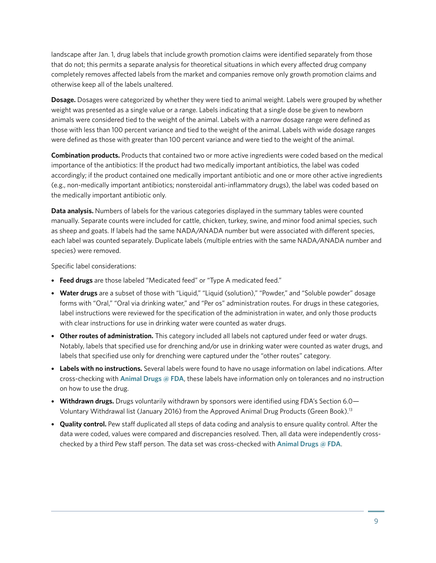landscape after Jan. 1, drug labels that include growth promotion claims were identified separately from those that do not; this permits a separate analysis for theoretical situations in which every affected drug company completely removes affected labels from the market and companies remove only growth promotion claims and otherwise keep all of the labels unaltered.

**Dosage.** Dosages were categorized by whether they were tied to animal weight. Labels were grouped by whether weight was presented as a single value or a range. Labels indicating that a single dose be given to newborn animals were considered tied to the weight of the animal. Labels with a narrow dosage range were defined as those with less than 100 percent variance and tied to the weight of the animal. Labels with wide dosage ranges were defined as those with greater than 100 percent variance and were tied to the weight of the animal.

**Combination products.** Products that contained two or more active ingredients were coded based on the medical importance of the antibiotics: If the product had two medically important antibiotics, the label was coded accordingly; if the product contained one medically important antibiotic and one or more other active ingredients (e.g., non-medically important antibiotics; nonsteroidal anti-inflammatory drugs), the label was coded based on the medically important antibiotic only.

**Data analysis.** Numbers of labels for the various categories displayed in the summary tables were counted manually. Separate counts were included for cattle, chicken, turkey, swine, and minor food animal species, such as sheep and goats. If labels had the same NADA/ANADA number but were associated with different species, each label was counted separately. Duplicate labels (multiple entries with the same NADA/ANADA number and species) were removed.

Specific label considerations:

- **Feed drugs** are those labeled "Medicated feed" or "Type A medicated feed."
- **Water drugs** are a subset of those with "Liquid," "Liquid (solution)," "Powder," and "Soluble powder" dosage forms with "Oral," "Oral via drinking water," and "Per os" administration routes. For drugs in these categories, label instructions were reviewed for the specification of the administration in water, and only those products with clear instructions for use in drinking water were counted as water drugs.
- **Other routes of administration.** This category included all labels not captured under feed or water drugs. Notably, labels that specified use for drenching and/or use in drinking water were counted as water drugs, and labels that specified use only for drenching were captured under the "other routes" category.
- **Labels with no instructions.** Several labels were found to have no usage information on label indications. After cross-checking with **[Animal Drugs @ FDA](http://www.accessdata.fda.gov/scripts/animaldrugsatfda/)**, these labels have information only on tolerances and no instruction on how to use the drug.
- **Withdrawn drugs.** Drugs voluntarily withdrawn by sponsors were identified using FDA's Section 6.0— Voluntary Withdrawal list (January 2016) from the Approved Animal Drug Products (Green Book).13
- **Quality control.** Pew staff duplicated all steps of data coding and analysis to ensure quality control. After the data were coded, values were compared and discrepancies resolved. Then, all data were independently crosschecked by a third Pew staff person. The data set was cross-checked with **[Animal Drugs @ FDA](http://www.accessdata.fda.gov/scripts/animaldrugsatfda/)**.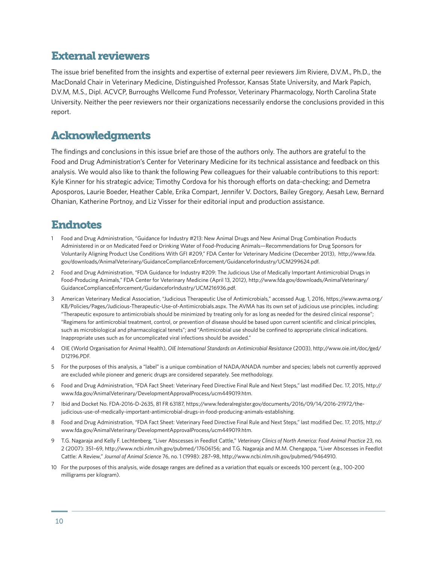### External reviewers

The issue brief benefited from the insights and expertise of external peer reviewers Jim Riviere, D.V.M., Ph.D., the MacDonald Chair in Veterinary Medicine, Distinguished Professor, Kansas State University, and Mark Papich, D.V.M, M.S., Dipl. ACVCP, Burroughs Wellcome Fund Professor, Veterinary Pharmacology, North Carolina State University. Neither the peer reviewers nor their organizations necessarily endorse the conclusions provided in this report.

### Acknowledgments

The findings and conclusions in this issue brief are those of the authors only. The authors are grateful to the Food and Drug Administration's Center for Veterinary Medicine for its technical assistance and feedback on this analysis. We would also like to thank the following Pew colleagues for their valuable contributions to this report: Kyle Kinner for his strategic advice; Timothy Cordova for his thorough efforts on data-checking; and Demetra Aposporos, Laurie Boeder, Heather Cable, Erika Compart, Jennifer V. Doctors, Bailey Gregory, Aesah Lew, Bernard Ohanian, Katherine Portnoy, and Liz Visser for their editorial input and production assistance.

## Endnotes

- 1 Food and Drug Administration, "Guidance for Industry #213: New Animal Drugs and New Animal Drug Combination Products Administered in or on Medicated Feed or Drinking Water of Food-Producing Animals—Recommendations for Drug Sponsors for Voluntarily Aligning Product Use Conditions With GFI #209," FDA Center for Veterinary Medicine (December 2013), [http://www.fda.](http://www.fda.gov/downloads/AnimalVeterinary/GuidanceComplianceEnforcement/GuidanceforIndustry/UCM299624.pdf) [gov/downloads/AnimalVeterinary/GuidanceComplianceEnforcement/GuidanceforIndustry/UCM299624.pdf](http://www.fda.gov/downloads/AnimalVeterinary/GuidanceComplianceEnforcement/GuidanceforIndustry/UCM299624.pdf).
- 2 Food and Drug Administration, "FDA Guidance for Industry #209: The Judicious Use of Medically Important Antimicrobial Drugs in Food-Producing Animals," FDA Center for Veterinary Medicine (April 13, 2012), [http://www.fda.gov/downloads/AnimalVeterinary/](http://www.fda.gov/downloads/AnimalVeterinary/GuidanceComplianceEnforcement/GuidanceforIndustry/UCM216936.pdf) [GuidanceComplianceEnforcement/GuidanceforIndustry/UCM216936.pdf](http://www.fda.gov/downloads/AnimalVeterinary/GuidanceComplianceEnforcement/GuidanceforIndustry/UCM216936.pdf).
- 3 American Veterinary Medical Association, "Judicious Therapeutic Use of Antimicrobials," accessed Aug. 1, 2016, [https://www.avma.org/](https://www.avma.org/KB/Policies/Pages/Judicious-Therapeutic-Use-of-Antimicrobials.aspx) [KB/Policies/Pages/Judicious-Therapeutic-Use-of-Antimicrobials.aspx.](https://www.avma.org/KB/Policies/Pages/Judicious-Therapeutic-Use-of-Antimicrobials.aspx) The AVMA has its own set of judicious use principles, including: "Therapeutic exposure to antimicrobials should be minimized by treating only for as long as needed for the desired clinical response"; "Regimens for antimicrobial treatment, control, or prevention of disease should be based upon current scientific and clinical principles, such as microbiological and pharmacological tenets"; and "Antimicrobial use should be confined to appropriate clinical indications. Inappropriate uses such as for uncomplicated viral infections should be avoided."
- 4 OIE (World Organisation for Animal Health), *OIE International Standards on Antimicrobial Resistance* (2003), [http://www.oie.int/doc/ged/](http://www.oie.int/doc/ged/D12196.PDF) [D12196.PDF](http://www.oie.int/doc/ged/D12196.PDF).
- 5 For the purposes of this analysis, a "label" is a unique combination of NADA/ANADA number and species; labels not currently approved are excluded while pioneer and generic drugs are considered separately. See methodology.
- 6 Food and Drug Administration, "FDA Fact Sheet: Veterinary Feed Directive Final Rule and Next Steps," last modified Dec. 17, 2015, [http://](http://www.fda.gov/AnimalVeterinary/DevelopmentApprovalProcess/ucm449019.htm) [www.fda.gov/AnimalVeterinary/DevelopmentApprovalProcess/ucm449019.htm.](http://www.fda.gov/AnimalVeterinary/DevelopmentApprovalProcess/ucm449019.htm)
- 7 Ibid and Docket No. FDA-2016-D-2635, 81 FR 63187, [https://www.federalregister.gov/documents/2016/09/14/2016-21972/the](https://www.federalregister.gov/documents/2016/09/14/2016-21972/the-judicious-use-of-medically-important-antimicrobial-drugs-in-food-producing-animals-establishing)[judicious-use-of-medically-important-antimicrobial-drugs-in-food-producing-animals-establishing](https://www.federalregister.gov/documents/2016/09/14/2016-21972/the-judicious-use-of-medically-important-antimicrobial-drugs-in-food-producing-animals-establishing).
- 8 Food and Drug Administration, "FDA Fact Sheet: Veterinary Feed Directive Final Rule and Next Steps," last modified Dec. 17, 2015, [http://](http://www.fda.gov/AnimalVeterinary/DevelopmentApprovalProcess/ucm449019.htm) [www.fda.gov/AnimalVeterinary/DevelopmentApprovalProcess/ucm449019.htm.](http://www.fda.gov/AnimalVeterinary/DevelopmentApprovalProcess/ucm449019.htm)
- 9 T.G. Nagaraja and Kelly F. Lechtenberg, "Liver Abscesses in Feedlot Cattle," *Veterinary Clinics of North America: Food Animal Practice* 23, no. 2 (2007): 351–69,<http://www.ncbi.nlm.nih.gov/pubmed/17606156>; and T.G. Nagaraja and M.M. Chengappa, "Liver Abscesses in Feedlot Cattle: A Review," *Journal of Animal Science* 76, no. 1 (1998): 287–98, <http://www.ncbi.nlm.nih.gov/pubmed/9464910>.
- 10 For the purposes of this analysis, wide dosage ranges are defined as a variation that equals or exceeds 100 percent (e.g., 100-200 milligrams per kilogram).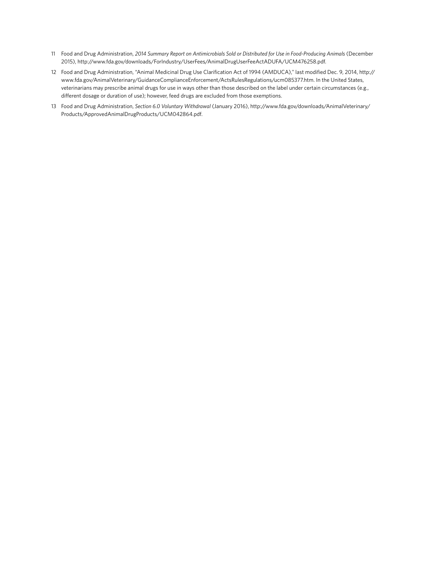- 11 Food and Drug Administration, *2014 Summary Report on Antimicrobials Sold or Distributed for Use in Food-Producing Animals* (December 2015), [http://www.fda.gov/downloads/ForIndustry/UserFees/AnimalDrugUserFeeActADUFA/UCM476258.pdf.](http://www.fda.gov/downloads/ForIndustry/UserFees/AnimalDrugUserFeeActADUFA/UCM476258.pdf)
- 12 Food and Drug Administration, "Animal Medicinal Drug Use Clarification Act of 1994 (AMDUCA)," last modified Dec. 9, 2014, [http://](http://www.fda.gov/AnimalVeterinary/GuidanceComplianceEnforcement/ActsRulesRegulations/ucm085377.htm) [www.fda.gov/AnimalVeterinary/GuidanceComplianceEnforcement/ActsRulesRegulations/ucm085377.htm](http://www.fda.gov/AnimalVeterinary/GuidanceComplianceEnforcement/ActsRulesRegulations/ucm085377.htm). In the United States, veterinarians may prescribe animal drugs for use in ways other than those described on the label under certain circumstances (e.g., different dosage or duration of use); however, feed drugs are excluded from those exemptions.
- 13 Food and Drug Administration, *Section 6.0 Voluntary Withdrawal* (January 2016), [http://www.fda.gov/downloads/AnimalVeterinary/](http://www.fda.gov/downloads/AnimalVeterinary/Products/ApprovedAnimalDrugProducts/UCM042864.pdf) [Products/ApprovedAnimalDrugProducts/UCM042864.pdf.](http://www.fda.gov/downloads/AnimalVeterinary/Products/ApprovedAnimalDrugProducts/UCM042864.pdf)